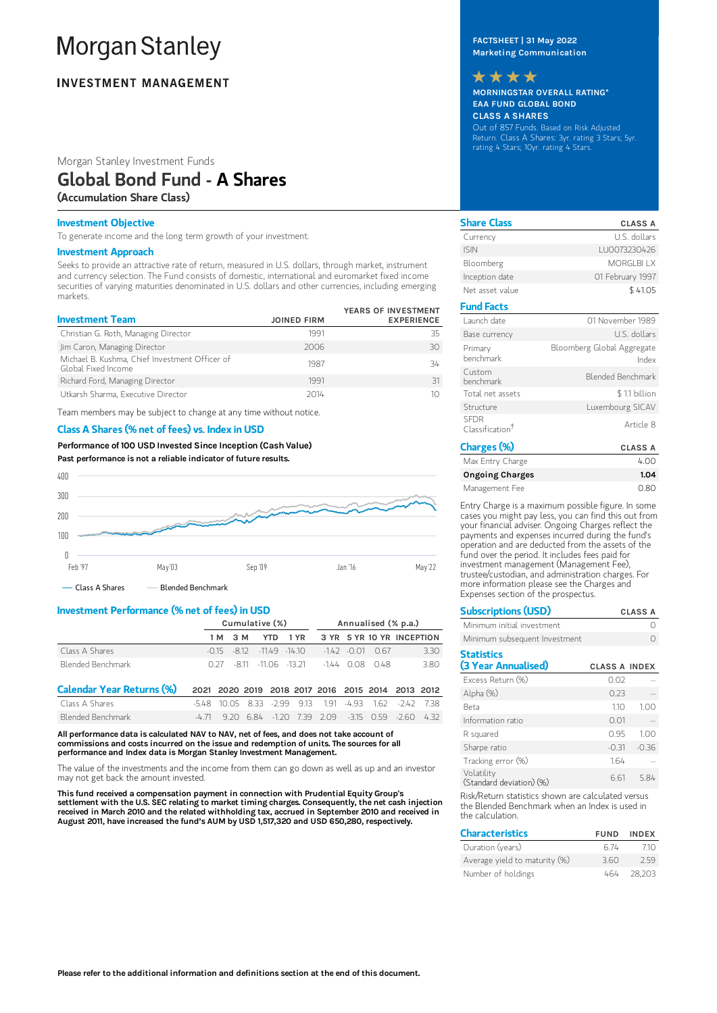# **Morgan Stanley**

### **INVESTMENT MANAGEMENT**

#### Morgan Stanley Investment Funds

### Global Bond Fund - A Shares

(Accumulation Share Class)

#### Investment Objective

To generate income and the long term growth of your investment.

#### Investment Approach

Seeks to provide an attractive rate of return, measured in U.S. dollars, through market, instrument and currency selection. The Fund consists of domestic, international and euromarket fixed income securities of varying maturities denominated in U.S. dollars and other currencies, including emerging markets.

| <b>Investment Team</b>                                                | <b>JOINED FIRM</b> | YEARS OF INVESTMENT<br><b>EXPERIENCE</b> |
|-----------------------------------------------------------------------|--------------------|------------------------------------------|
| Christian G. Roth, Managing Director                                  | 1991               | 35                                       |
| Jim Caron, Managing Director                                          | 2006               | 30                                       |
| Michael B. Kushma, Chief Investment Officer of<br>Global Fixed Income | 1987               | 34                                       |
| Richard Ford, Managing Director                                       | 1991               | 31                                       |
| Utkarsh Sharma, Executive Director                                    | 2014               |                                          |

Team members may be subject to change at any time without notice.

#### Class A Shares (% net of fees) vs. Index in USD

Performance of100 USD Invested Since Inception (Cash Value) Past performance is not a reliable indicator of future results.



- Class A Shares - Blended Benchmark

#### Investment Performance (% net of fees) in USD

|                                  | Cumulative (%) |            |      |                |      |                                                   | Annualised (% p.a.) |                           |        |      |
|----------------------------------|----------------|------------|------|----------------|------|---------------------------------------------------|---------------------|---------------------------|--------|------|
|                                  |                | 3 M<br>1 M |      | YTD.           | 1 YR |                                                   |                     | 3 YR 5 YR 10 YR INCEPTION |        |      |
| Class A Shares                   | $-0.15$        | -8.12      |      | $-1149 - 1410$ |      |                                                   | $-142 - 0.01$       | O 67                      |        | 3.30 |
| Blended Benchmark                | O 27           |            | -811 | $-1106 - 1321$ |      |                                                   | $-144008$           | 048                       |        | 3.80 |
| <b>Calendar Year Returns (%)</b> |                |            |      |                |      | 2021 2020 2019 2018 2017 2016 2015 2014 2013 2012 |                     |                           |        |      |
| Class A Shares                   | -548           | 10 OS      | 833  | $-299$         | 913  | 191                                               | -4 93               | 162                       | $-242$ | -738 |
| Blended Benchmark                | $-4$ $71$      | 9.20       | 6.84 | $-120$         |      | 739 209                                           | $-3150059$          |                           | $-260$ | 432  |

All performance data is calculated NAV to NAV, net of fees, and does not take account of commissions and costs incurred on the issue and redemption of units. The sources for all performance and Index data is Morgan Stanley Investment Management.

The value of the investments and the income from them can go down as well as up and an investor may not get back the amount invested.

This fund received a compensation payment in connection with Prudential Equity Group's settlement with the U.S. SEC relating to market timing charges. Consequently, the net cash injection<br>received in March 2010 and the related withholding tax, accrued in September 2010 and received in<br>August 2011, have incre

FACTSHEET | 31 May 2022 Marketing Communication

## \*\*\*\*

MORNINGSTAR OVERALL RATING\* EAA FUND GLOBAL BOND CLASS A SHARES Out of 857 Funds. Based on Risk Adjusted Return. Class A Shares: 3yr. rating 3 Stars; 5yr. rating 4 Stars; 10yr. rating 4 Stars.

| <b>Share Class</b>                         | <b>CLASS A</b>                      |
|--------------------------------------------|-------------------------------------|
| Currency                                   | U.S. dollars                        |
| <b>ISIN</b>                                | LU0073230426                        |
| Bloomberg                                  | MORGLBLLX                           |
| Inception date                             | 01 February 1997                    |
| Net asset value                            | \$41.05                             |
| <b>Fund Facts</b>                          |                                     |
| Launch date                                | 01 November 1989                    |
| Base currency                              | U.S. dollars                        |
| Primary<br>henchmark                       | Bloomberg Global Aggregate<br>Index |
| Custom<br>henchmark                        | Blended Benchmark                   |
| Total net assets                           | \$1.1 billion                       |
| Structure                                  | Luxembourg SICAV                    |
| <b>SFDR</b><br>Classification <sup>†</sup> | Article 8                           |
| Charges (%)                                | <b>CLASS A</b>                      |

| u lai ges ( /u/        | <b>ULAJJA</b> |
|------------------------|---------------|
| Max Entry Charge       | 4.00          |
| <b>Ongoing Charges</b> | 1.04          |
| Management Fee         | 0.80          |

Entry Charge is a maximum possible figure. In some cases you might pay less, you can find this out from your financial adviser. Ongoing Charges reflect the payments and expenses incurred during the fund's operation and are deducted from the assets of the fund over the period. It includes fees paid for investment management (Management Fee), trustee/custodian, and administration charges. For more information please see the Charges and Expenses section of the prospectus.

| <b>Subscriptions (USD)</b>               |                      | <b>CLASS A</b> |
|------------------------------------------|----------------------|----------------|
| Minimum initial investment               |                      |                |
| Minimum subsequent Investment            |                      |                |
| <b>Statistics</b><br>(3 Year Annualised) | <b>CLASS A INDEX</b> |                |
| Excess Return (%)                        | 0.02                 |                |
| Alpha (%)                                | 0.23                 |                |
| Beta                                     | 110                  | 1.00           |
| Information ratio                        | 0.01                 |                |
| R squared                                | 0.95                 | 1.00           |
| Sharpe ratio                             | $-0.31$              | $-0.36$        |
| Tracking error (%)                       | 1.64                 |                |

(Standard deviation) (%) Risk/Return statistics shown are calculated versus

6.61 5.84

Volatility

the Blended Benchmark when an Index is used in the calculation.

| <b>Characteristics</b>        | <b>FUND</b> | <b>INDFX</b> |
|-------------------------------|-------------|--------------|
| Duration (years)              | 6.74        | 710          |
| Average yield to maturity (%) | 360         | 259          |
| Number of holdings            | 464         | 28.203       |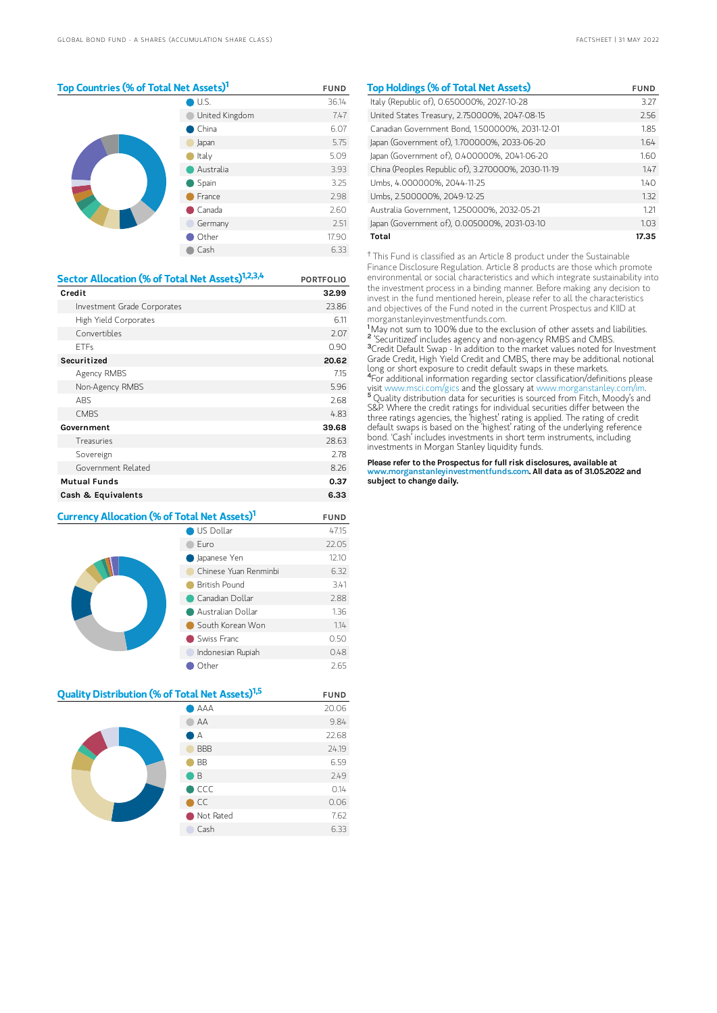#### Top Countries (% of Total Net Assets)<sup>1</sup> FUND

|  | U.S.           | 36.14 |
|--|----------------|-------|
|  | United Kingdom | 7.47  |
|  | China          | 6.07  |
|  | Japan          | 5.75  |
|  | Italy          | 5.09  |
|  | Australia      | 3.93  |
|  | Spain          | 3.25  |
|  | France         | 2.98  |
|  | Canada         | 2.60  |
|  | Germany        | 2.51  |
|  | Other          | 17.90 |
|  | Cash           | 6.33  |

| Sector Allocation (% of Total Net Assets) <sup>1,2,3,4</sup> | <b>PORTFOLIO</b> |
|--------------------------------------------------------------|------------------|
| Credit                                                       | 32.99            |
| Investment Grade Corporates                                  | 23.86            |
| High Yield Corporates                                        | 6.11             |
| Convertibles                                                 | 2.07             |
| <b>FTFs</b>                                                  | 0.90             |
| Securitized                                                  | 20.62            |
| Agency RMBS                                                  | 7.15             |
| Non-Agency RMBS                                              | 5.96             |
| <b>ABS</b>                                                   | 2.68             |
| <b>CMBS</b>                                                  | 4.83             |
| Government                                                   | 39.68            |
| Treasuries                                                   | 28.63            |
| Sovereign                                                    | 2.78             |
| Government Related                                           | 8.26             |
| <b>Mutual Funds</b>                                          | 0.37             |
| Cash & Equivalents                                           | 6.33             |

| Currency Allocation (% of Total Net Assets) <sup>1</sup> |                       | <b>FUND</b> |
|----------------------------------------------------------|-----------------------|-------------|
| US Dollar                                                |                       | 47.15       |
|                                                          | Furo                  | 22.05       |
|                                                          | Japanese Yen          | 12.10       |
|                                                          | Chinese Yuan Renminhi | 6.32        |
|                                                          | British Pound         | 3.41        |
|                                                          | Canadian Dollar       | 2.88        |
|                                                          | Australian Dollar     | 1.36        |
|                                                          | South Korean Won      | 1.14        |
|                                                          | Swiss Franc           | 0.50        |
|                                                          | Indonesian Rupiah     | 0.48        |
|                                                          | Other                 | 2.65        |

| Quality Distribution (% of Total Net Assets) <sup>1,5</sup> |                | <b>FUND</b> |
|-------------------------------------------------------------|----------------|-------------|
|                                                             | AAA            | 20.06       |
|                                                             | AA             | 9.84        |
|                                                             | А              | 22.68       |
|                                                             | <b>BBB</b>     | 24.19       |
|                                                             | <b>BB</b>      | 6.59        |
|                                                             | B.             | 2.49        |
|                                                             | $\bigcirc$ CCC | 0.14        |
|                                                             | CC.            | 0.06        |
|                                                             | Not Rated      | 7.62        |
|                                                             | Cash           | 6.33        |
|                                                             |                |             |

| <b>Top Holdings (% of Total Net Assets)</b>        | FUND  |
|----------------------------------------------------|-------|
| Italy (Republic of), 0.650000%, 2027-10-28         | 3.27  |
| United States Treasury, 2.750000%, 2047-08-15      | 2.56  |
| Canadian Government Bond, 1.500000%, 2031-12-01    | 1.85  |
| Japan (Government of), 1.700000%, 2033-06-20       | 1.64  |
| Japan (Government of), 0.400000%, 2041-06-20       | 1.60  |
| China (Peoples Republic of), 3.270000%, 2030-11-19 | 1.47  |
| Umbs. 4.000000%. 2044-11-25                        | 140   |
| Umbs. 2.500000%. 2049-12-25                        | 1.32  |
| Australia Government, 1.250000%, 2032-05-21        | 1.21  |
| Japan (Government of), 0.005000%, 2031-03-10       | 1.03  |
| Total                                              | 17.35 |

<sup>†</sup> This Fund is classified as an Article 8 product under the Sustainable Finance Disclosure Regulation. Article 8 products are those which promote environmental or social characteristics and which integrate sustainability into the investment process in a binding manner. Before making any decision to invest in the fund mentioned herein, please refer to all the characteristics and objectives of the Fund noted in the current Prospectus and KIID at morganstanleyinvestmentfunds.com.

May not sum to 100% due to the exclusion of other assets and liabilities. 'Securitized' includes agency and non-agency RMBS and CMBS. Credit Default Swap - In addition to the market values noted for Investment Grade Credit, High Yield Credit and CMBS, there may be additional notional long or short exposure to credit default swaps in these markets. For additional information regarding sector classification/definitions please visit www.msci.com/gics and the glossary at www.morganstanley.com/im. <sup>5</sup> Quality distribution data for securities is sourced from Fitch, Moody's and S&P. Where the credit ratings for individual securities differ between the three ratings agencies, the 'highest' rating is applied. The rating of credit default swaps is based on the 'highest' rating of the underlying reference bond. 'Cash' includes investments in short term instruments, including investments in Morgan Stanley liquidity funds. 1 2  $3<sub>f</sub>$  $4<sub>l</sub>$ 

Please refer to the Prospectus for full risk disclosures, available at www.morganstanleyinvestmentfunds.com. All data as of 31.05.2022 and subject to change daily.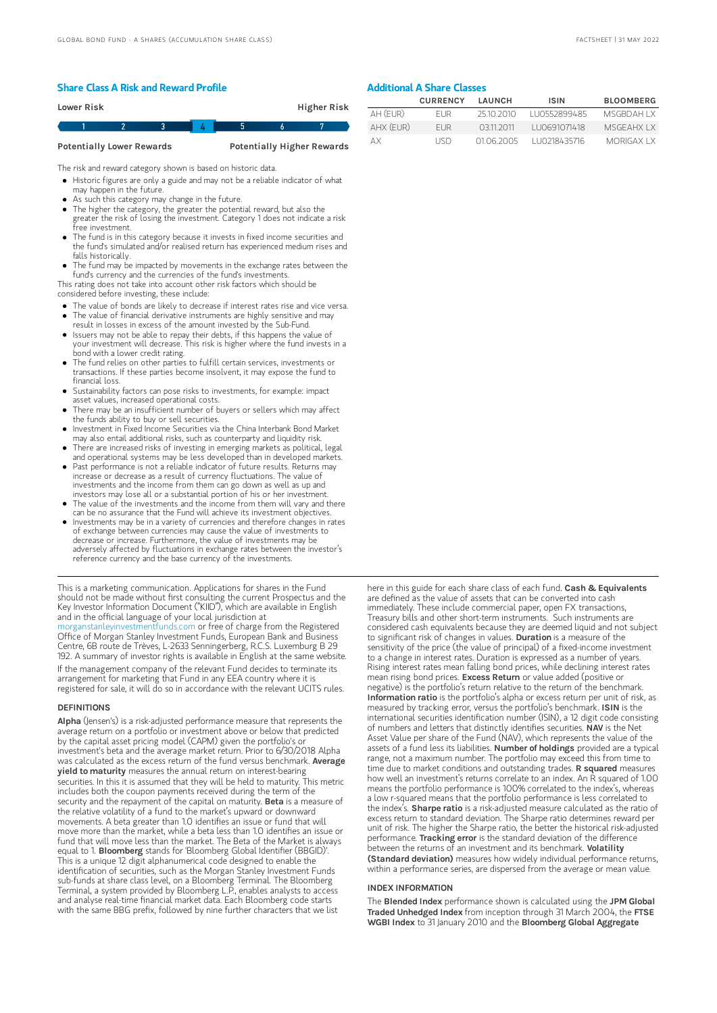### Share Class A Risk and Reward Profile

| <b>Higher Risk</b><br>Lower Risk |  |  |  |  |  |  |  |
|----------------------------------|--|--|--|--|--|--|--|
|                                  |  |  |  |  |  |  |  |

Potentially Lower Rewards **Potentially Higher Rewards** 

The risk and reward category shown is based on historic data.

Historic figures are only a guide and may not be a reliable indicator of what may happen in the future.

- As such this category may change in the future.
- The higher the category, the greater the potential reward, but also the greater the risk of losing the investment. Category 1 does not indicate a risk free investment.
- The fund is in this category because it invests in fixed income securities and the fund's simulated and/or realised return has experienced medium rises and falls historically.
- The fund may be impacted by movements in the exchange rates between the fund's currency and the currencies of the fund's investments.

This rating does not take into account other risk factors which should be considered before investing, these include:

- The value of bonds are likely to decrease if interest rates rise and vice versa.
- The value of financial derivative instruments are highly sensitive and may result in losses in excess of the amount invested by the Sub-Fund.
- Issuers may not be able to repay their debts, if this happens the value of your investment will decrease. This risk is higher where the fund invests in a bond with a lower credit rating.
- The fund relies on other parties to fulfill certain services, investments or transactions. If these parties become insolvent, it may expose the fund to financial loss.
- Sustainability factors can pose risks to investments, for example: impact asset values, increased operational costs.
- There may be an insufficient number of buyers or sellers which may affect the funds ability to buy or sell securities.
- Investment in Fixed Income Securities via the China Interbank Bond Market may also entail additional risks, such as counterparty and liquidity risk.
- There are increased risks of investing in emerging markets as political, legal and operational systems may be less developed than in developed markets. Past performance is not a reliable indicator of future results. Returns may
- increase or decrease as a result of currency fluctuations. The value of investments and the income from them can go down as well as up and investors may lose all or a substantial portion of his or her investment.
- The value of the investments and the income from them will vary and there can be no assurance that the Fund will achieve its investment objectives.
- $\bullet$ Investments may be in a variety of currencies and therefore changes in rates of exchange between currencies may cause the value of investments to decrease or increase. Furthermore, the value of investments may be adversely affected by fluctuations in exchange rates between the investor's reference currency and the base currency of the investments.

This is a marketing communication. Applications for shares in the Fund should not be made without first consulting the current Prospectus and the Key Investor Information Document ("KIID"), which are available in English and in the official language of your local jurisdiction at anleyinvestmentfunds.com or free of charge from the Registered Office of Morgan Stanley Investment Funds, European Bank and Business Centre, 6B route de Trèves, L-2633 Senningerberg, R.C.S. Luxemburg B 29 192. A summary of investor rights is available in English at the same website. If the management company of the relevant Fund decides to terminate its arrangement for marketing that Fund in any EEA country where it is registered for sale, it will do so in accordance with the relevant UCITS rules.

#### **DEFINITIONS**

Alpha (Jensen's) is a risk-adjusted performance measure that represents the average return on a portfolio or investment above or below that predicted by the capital asset pricing model (CAPM) given the portfolio's or investment's beta and the average market return. Prior to 6/30/2018 Alpha was calculated as the excess return of the fund versus benchmark. Average **yield to maturity** measures the annual return on interest-bearing securities. In this it is assumed that they will be held to maturity. This metric includes both the coupon payments received during the term of the<br>security and the repayment of the capital on maturity. **Beta** is a measure of the relative volatility of a fund to the market's upward or downward movements. A beta greater than 1.0 identifies an issue or fund that will move more than the market, while a beta less than 1.0 identifies an issue or fund that will move less than the market. The Beta of the Market is always equal to 1. Bloomberg stands for 'Bloomberg Global Identifier (BBGID)'. This is a unique 12 digit alphanumerical code designed to enable the identification of securities, such as the Morgan Stanley Investment Funds sub-funds at share class level, on a Bloomberg Terminal. The Bloomberg Terminal, a system provided by Bloomberg L.P., enables analysts to access and analyse real-time financial market data. Each Bloomberg code starts with the same BBG prefix, followed by nine further characters that we list

#### Additional A Share Classes

|           | <b>CURRENCY</b> | LAUNCH     | <b>ISIN</b>   | <b>BLOOMBERG</b>   |
|-----------|-----------------|------------|---------------|--------------------|
| AH (EUR)  | FI IR.          | 2510.2010  | 1110552899485 | MSGRDAH I X        |
| AHX (EUR) | FI IR           | 03112011   | LU0691071418  | MSGEAHX I X        |
| ΔX        | LISD.           | 01 06 2005 | 1110218435716 | <b>MORIGAX I X</b> |

here in this guide for each share class of each fund. Cash & Equivalents are defined as the value of assets that can be converted into cash immediately. These include commercial paper, open FX transactions, Treasury bills and other short-term instruments. Such instruments are considered cash equivalents because they are deemed liquid and not subject to significant risk of changes in values. Duration is a measure of the sensitivity of the price (the value of principal) of a fixed-income investment to a change in interest rates. Duration is expressed as a number of years. Rising interest rates mean falling bond prices, while declining interest rates mean rising bond prices. Excess Return or value added (positive or negative) is the portfolio's return relative to the return of the benchmark. Information ratio is the portfolio's alpha or excess return per unit of risk, as measured by tracking error, versus the portfolio's benchmark. ISIN is the international securities identification number (ISIN), a 12 digit code consisting of numbers and letters that distinctly identifies securities. NAV is the Net Asset Value per share of the Fund (NAV), which represents the value of the assets of a fund less its liabilities. Number of holdings provided are a typical range, not a maximum number. The portfolio may exceed this from time to time due to market conditions and outstanding trades. R squared measures how well an investment's returns correlate to an index. An R squared of 1.00 means the portfolio performance is 100% correlated to the index's, whereas a low r-squared means that the portfolio performance is less correlated to<br>the index's. **Sharpe ratio** is a risk-adjusted measure calculated as the ratio of excess return to standard deviation. The Sharpe ratio determines reward per unit of risk. The higher the Sharpe ratio, the better the historical risk-adjusted<br>performance. **Tracking error** is the standard deviation of the difference between the returns of an investment and its benchmark. Volatility (Standard deviation) measures how widely individual performance returns, within a performance series, are dispersed from the average or mean value.

#### INDEX INFORMATION

The **Blended Index** performance shown is calculated using the JPM Global Traded Unhedged Index from inception through 31 March 2004, the FTSE WGBI Index to 31 January 2010 and the Bloomberg Global Aggregate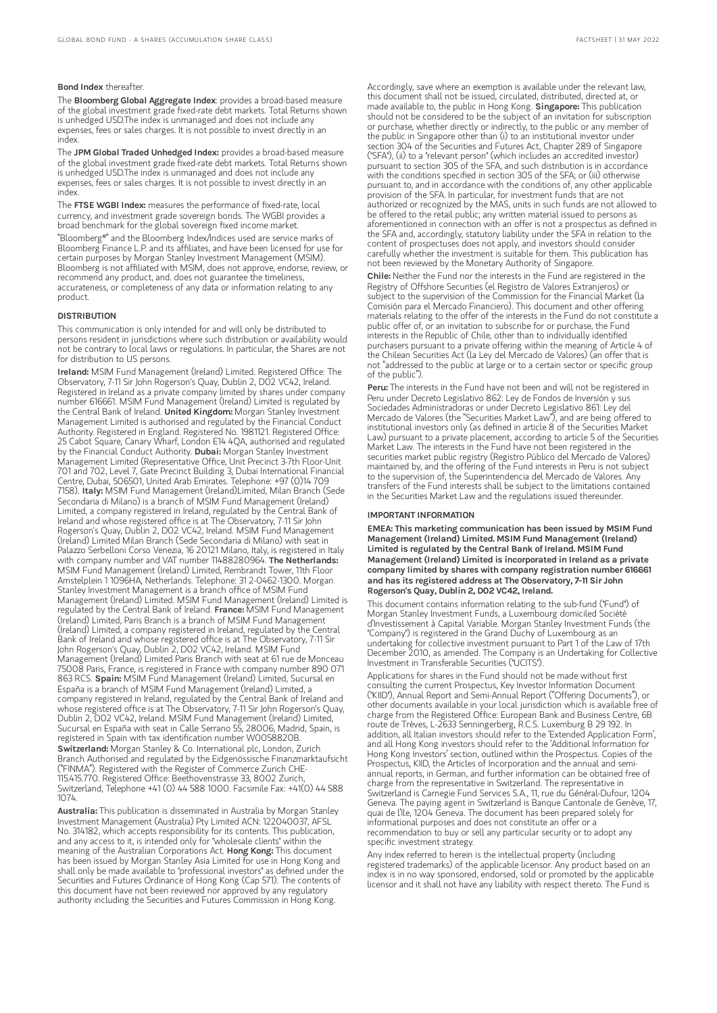#### Bond Index thereafter.

The Bloomberg Global Aggregate Index: provides a broad-based measure of the global investment grade fixed-rate debt markets. Total Returns shown is unhedged USD.The index is unmanaged and does not include any expenses, fees or sales charges. It is not possible to invest directly in an index.

The JPM Global Traded Unhedged Index: provides a broad-based measure of the global investment grade fixed-rate debt markets. Total Returns shown is unhedged USD.The index is unmanaged and does not include any expenses, fees or sales charges. It is not possible to invest directly in an index.

The FTSE WGBI Index: measures the performance of fixed-rate, local currency, and investment grade sovereign bonds. The WGBI provides a broad benchmark for the global sovereign fixed income market. "Bloomberg®" and the Bloomberg Index/Indices used are service marks of Bloomberg Finance L.P. and its affiliates, and have been licensed for use for certain purposes by Morgan Stanley Investment Management (MSIM). Bloomberg is not affiliated with MSIM, does not approve, endorse, review, or recommend any product, and. does not guarantee the timeliness, accurateness, or completeness of any data or information relating to any product.

#### **DISTRIBUTION**

This communication is only intended for and will only be distributed to persons resident in jurisdictions where such distribution or availability would not be contrary to local laws or regulations. In particular, the Shares are not for distribution to US persons.

Ireland: MSIM Fund Management (Ireland) Limited. Registered Office: The Observatory, 7-11 Sir John Rogerson's Quay, Dublin 2, D02 VC42, Ireland. Registered in Ireland as a private company limited by shares under company number 616661. MSIM Fund Management (Ireland) Limited is regulated by the Central Bank of Ireland. United Kingdom: Morgan Stanley Investment Management Limited is authorised and regulated by the Financial Conduct Authority. Registered in England. Registered No. 1981121. Registered Office: 25 Cabot Square, Canary Wharf, London E14 4QA, authorised and regulated by the Financial Conduct Authority. Dubai: Morgan Stanley Investment Management Limited (Representative Office, Unit Precinct 3-7th Floor-Unit 701 and 702, Level 7, Gate Precinct Building 3, Dubai International Financial Centre, Dubai, 506501, United Arab Emirates. Telephone: +97 (0)14 709 7158). Italy: MSIM Fund Management (Ireland)Limited, Milan Branch (Sede Secondaria di Milano) is a branch of MSIM Fund Management (Ireland) Limited, a company registered in Ireland, regulated by the Central Bank of Ireland and whose registered office is at The Observatory, 7-11 Sir John Rogerson's Quay, Dublin 2, D02 VC42, Ireland. MSIM Fund Management (Ireland) Limited Milan Branch (Sede Secondaria di Milano) with seat in Palazzo Serbelloni Corso Venezia, 16 20121 Milano, Italy, is registered in Italy with company number and VAT number 11488280964. The Netherlands: MSIM Fund Management (Ireland) Limited, Rembrandt Tower, 11th Floor Amstelplein 1 1096HA, Netherlands. Telephone: 31 2-0462-1300. Morgan Stanley Investment Management is a branch office of MSIM Fund Management (Ireland) Limited. MSIM Fund Management (Ireland) Limited is<br>regulated by the Central Bank of Ireland. **France:** MSIM Fund Management (Ireland) Limited, Paris Branch is a branch of MSIM Fund Management (Ireland) Limited, a company registered in Ireland, regulated by the Central Bank of Ireland and whose registered office is at The Observatory, 7-11 Sir John Rogerson's Quay, Dublin 2, D02 VC42, Ireland. MSIM Fund Management (Ireland) Limited Paris Branch with seat at 61 rue de Monceau 75008 Paris, France, is registered in France with company number 890 071 863 RCS. Spain: MSIM Fund Management (Ireland) Limited, Sucursal en España is a branch of MSIM Fund Management (Ireland) Limited, a company registered in Ireland, regulated by the Central Bank of Ireland and whose registered office is at The Observatory, 7-11 Sir John Rogerson's Quay, Dublin 2, D02 VC42, Ireland. MSIM Fund Management (Ireland) Limited, Sucursal en España with seat in Calle Serrano 55, 28006, Madrid, Spain, is registered in Spain with tax identification number W0058820B. Switzerland: Morgan Stanley & Co. International plc, London, Zurich Branch Authorised and regulated by the Eidgenössische Finanzmarktaufsicht ("FINMA"). Registered with the Register of Commerce Zurich CHE-115.415.770. Registered Office: Beethovenstrasse 33, 8002 Zurich, Switzerland, Telephone +41 (0) 44 588 1000. Facsimile Fax: +41(0) 44 588 1074.

Australia: This publication is disseminated in Australia by Morgan Stanley Investment Management (Australia) Pty Limited ACN: 122040037, AFSL No. 314182, which accepts responsibility for its contents. This publication, and any access to it, is intended only for "wholesale clients" within the meaning of the Australian Corporations Act. **Hong Kong:** This document has been issued by Morgan Stanley Asia Limited for use in Hong Kong and shall only be made available to "professional investors" as defined under the Securities and Futures Ordinance of Hong Kong (Cap 571). The contents of this document have not been reviewed nor approved by any regulatory authority including the Securities and Futures Commission in Hong Kong.

Accordingly, save where an exemption is available under the relevant law, this document shall not be issued, circulated, distributed, directed at, or made available to, the public in Hong Kong. Singapore: This publication should not be considered to be the subject of an invitation for subscription or purchase, whether directly or indirectly, to the public or any member of the public in Singapore other than (i) to an institutional investor under section 304 of the Securities and Futures Act, Chapter 289 of Singapore ("SFA"), (ii) to a "relevant person" (which includes an accredited investor) pursuant to section 305 of the SFA, and such distribution is in accordance with the conditions specified in section 305 of the SFA; or (iii) otherwise pursuant to, and in accordance with the conditions of, any other applicable provision of the SFA. In particular, for investment funds that are not authorized or recognized by the MAS, units in such funds are not allowed to be offered to the retail public; any written material issued to persons as aforementioned in connection with an offer is not a prospectus as defined in the SFA and, accordingly, statutory liability under the SFA in relation to the content of prospectuses does not apply, and investors should consider carefully whether the investment is suitable for them. This publication has not been reviewed by the Monetary Authority of Singapore.

Chile: Neither the Fund nor the interests in the Fund are registered in the Registry of Offshore Securities (el Registro de Valores Extranjeros) or subject to the supervision of the Commission for the Financial Market (la Comisión para el Mercado Financiero). This document and other offering materials relating to the offer of the interests in the Fund do not constitute a public offer of, or an invitation to subscribe for or purchase, the Fund interests in the Republic of Chile, other than to individually identified purchasers pursuant to a private offering within the meaning of Article 4 of the Chilean Securities Act (la Ley del Mercado de Valores) (an offer that is not "addressed to the public at large or to a certain sector or specific group of the public").

Peru: The interests in the Fund have not been and will not be registered in Peru under Decreto Legislativo 862: Ley de Fondos de Inversión y sus Sociedades Administradoras or under Decreto Legislativo 861: Ley del Mercado de Valores (the "Securities Market Law"), and are being offered to institutional investors only (as defined in article 8 of the Securities Market Law) pursuant to a private placement, according to article 5 of the Securities Market Law. The interests in the Fund have not been registered in the securities market public registry (Registro Público del Mercado de Valores) maintained by, and the offering of the Fund interests in Peru is not subject to the supervision of, the Superintendencia del Mercado de Valores. Any transfers of the Fund interests shall be subject to the limitations contained in the Securities Market Law and the regulations issued thereunder.

#### IMPORTANT INFORMATION

EMEA: This marketing communication has been issued by MSIM Fund Management (Ireland) Limited. MSIM Fund Management (Ireland) Limited is regulated by the Central Bank of Ireland. MSIM Fund Management (Ireland) Limited is incorporated in Ireland as a private company limited by shares with company registration number 616661 and has its registered address at The Observatory, 7-11 Sir John Rogerson's Quay, Dublin 2, D02 VC42, Ireland.

This document contains information relating to the sub-fund ("Fund") of Morgan Stanley Investment Funds, a Luxembourg domiciled Société d'Investissement à Capital Variable. Morgan Stanley Investment Funds (the "Company") is registered in the Grand Duchy of Luxembourg as an undertaking for collective investment pursuant to Part 1 of the Law of 17th December 2010, as amended. The Company is an Undertaking for Collective Investment in Transferable Securities ("UCITS").

Applications for shares in the Fund should not be made without first consulting the current Prospectus, Key Investor Information Document ("KIID"), Annual Report and Semi-Annual Report ("Offering Documents"), or other documents available in your local jurisdiction which is available free of charge from the Registered Office: European Bank and Business Centre, 6B route de Trèves, L-2633 Senningerberg, R.C.S. Luxemburg B 29 192. In addition, all Italian investors should refer to the 'Extended Application Form', and all Hong Kong investors should refer to the 'Additional Information for Hong Kong Investors' section, outlined within the Prospectus. Copies of the Prospectus, KIID, the Articles of Incorporation and the annual and semiannual reports, in German, and further information can be obtained free of charge from the representative in Switzerland. The representative in Switzerland is Carnegie Fund Services S.A., 11, rue du Général-Dufour, 1204 Geneva. The paying agent in Switzerland is Banque Cantonale de Genève, 17, quai de l'Ile, 1204 Geneva. The document has been prepared solely for informational purposes and does not constitute an offer or a recommendation to buy or sell any particular security or to adopt any specific investment strategy.

Any index referred to herein is the intellectual property (including registered trademarks) of the applicable licensor. Any product based on an index is in no way sponsored, endorsed, sold or promoted by the applicable licensor and it shall not have any liability with respect thereto. The Fund is